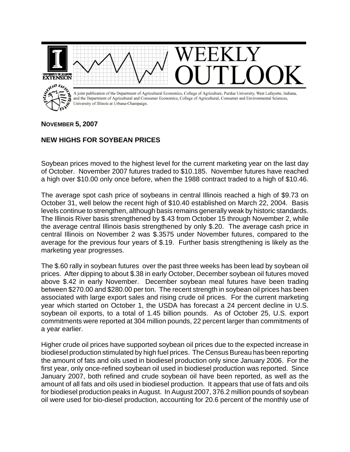

## **NOVEMBER 5, 2007**

## **NEW HIGHS FOR SOYBEAN PRICES**

Soybean prices moved to the highest level for the current marketing year on the last day of October. November 2007 futures traded to \$10.185. November futures have reached a high over \$10.00 only once before, when the 1988 contract traded to a high of \$10.46.

The average spot cash price of soybeans in central Illinois reached a high of \$9.73 on October 31, well below the recent high of \$10.40 established on March 22, 2004. Basis levels continue to strengthen, although basis remains generally weak by historic standards. The Illinois River basis strengthened by \$.43 from October 15 through November 2, while the average central Illinois basis strengthened by only \$.20. The average cash price in central Illinois on November 2 was \$.3575 under November futures, compared to the average for the previous four years of \$.19. Further basis strengthening is likely as the marketing year progresses.

The \$.60 rally in soybean futures over the past three weeks has been lead by soybean oil prices. After dipping to about \$.38 in early October, December soybean oil futures moved above \$.42 in early November. December soybean meal futures have been trading between \$270.00 and \$280.00 per ton. The recent strength in soybean oil prices has been associated with large export sales and rising crude oil prices. For the current marketing year which started on October 1, the USDA has forecast a 24 percent decline in U.S. soybean oil exports, to a total of 1.45 billion pounds. As of October 25, U.S. export commitments were reported at 304 million pounds, 22 percent larger than commitments of a year earlier.

Higher crude oil prices have supported soybean oil prices due to the expected increase in biodiesel production stimulated by high fuel prices. The Census Bureau has been reporting the amount of fats and oils used in biodiesel production only since January 2006. For the first year, only once-refined soybean oil used in biodiesel production was reported. Since January 2007, both refined and crude soybean oil have been reported, as well as the amount of all fats and oils used in biodiesel production. It appears that use of fats and oils for biodiesel production peaks in August. In August 2007, 376.2 million pounds of soybean oil were used for bio-diesel production, accounting for 20.6 percent of the monthly use of